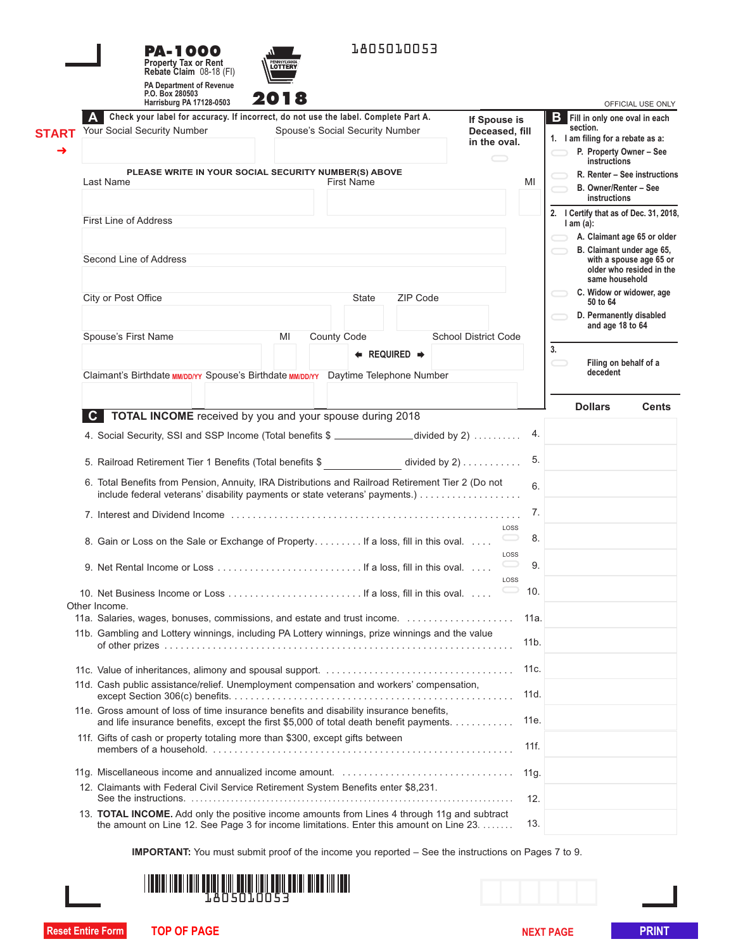|              | 1805010053<br>PA-1000<br><b>Property Tax or Rent</b><br><b>LOTTERY</b><br>Rebate Claim 08-18 (FI)                                                                                 |                   |                                                      |
|--------------|-----------------------------------------------------------------------------------------------------------------------------------------------------------------------------------|-------------------|------------------------------------------------------|
|              | <b>PA Department of Revenue</b><br>P.O. Box 280503<br>Harrisburg PA 17128-0503                                                                                                    |                   | OFFICIAL USE ONLY                                    |
|              | Check your label for accuracy. If incorrect, do not use the label. Complete Part A.                                                                                               |                   | <b>B</b> Fill in only one oval in each               |
| <b>START</b> | If Spouse is<br>Your Social Security Number<br>Spouse's Social Security Number<br>Deceased, fill                                                                                  |                   | section.                                             |
|              | in the oval.                                                                                                                                                                      |                   | 1. I am filing for a rebate as a:                    |
| →            | $\hspace{.05cm} \fbox{}$                                                                                                                                                          |                   | P. Property Owner - See<br>instructions              |
|              | PLEASE WRITE IN YOUR SOCIAL SECURITY NUMBER(S) ABOVE                                                                                                                              |                   | R. Renter - See instructions                         |
|              | Last Name<br><b>First Name</b>                                                                                                                                                    | MI                | B. Owner/Renter - See<br>instructions                |
|              |                                                                                                                                                                                   |                   | 2. I Certify that as of Dec. 31, 2018,               |
|              | <b>First Line of Address</b>                                                                                                                                                      |                   | $l$ am $(a)$ :                                       |
|              |                                                                                                                                                                                   |                   | A. Claimant age 65 or older                          |
|              | Second Line of Address                                                                                                                                                            |                   | B. Claimant under age 65,<br>with a spouse age 65 or |
|              |                                                                                                                                                                                   |                   | older who resided in the                             |
|              |                                                                                                                                                                                   |                   | same household                                       |
|              | City or Post Office<br><b>ZIP Code</b><br><b>State</b>                                                                                                                            |                   | C. Widow or widower, age<br>50 to 64                 |
|              |                                                                                                                                                                                   |                   | D. Permanently disabled                              |
|              |                                                                                                                                                                                   |                   | and age 18 to 64                                     |
|              | <b>School District Code</b><br>Spouse's First Name<br><b>County Code</b><br>MI                                                                                                    |                   |                                                      |
|              | $\leftarrow$ REQUIRED $\rightarrow$                                                                                                                                               |                   | 3.                                                   |
|              | Claimant's Birthdate MM/DD/YY Spouse's Birthdate MM/DD/YY Daytime Telephone Number                                                                                                |                   | Filing on behalf of a<br>decedent                    |
|              |                                                                                                                                                                                   |                   |                                                      |
|              |                                                                                                                                                                                   |                   |                                                      |
|              | TOTAL INCOME received by you and your spouse during 2018<br>C                                                                                                                     |                   | <b>Dollars</b><br><b>Cents</b>                       |
|              |                                                                                                                                                                                   |                   |                                                      |
|              | 4. Social Security, SSI and SSP Income (Total benefits \$ _____________divided by 2)                                                                                              | 4.                |                                                      |
|              | 5. Railroad Retirement Tier 1 Benefits (Total benefits \$ divided by 2)                                                                                                           | 5.                |                                                      |
|              | 6. Total Benefits from Pension, Annuity, IRA Distributions and Railroad Retirement Tier 2 (Do not                                                                                 |                   |                                                      |
|              | include federal veterans' disability payments or state veterans' payments.)                                                                                                       | 6.                |                                                      |
|              |                                                                                                                                                                                   | 7.                |                                                      |
|              |                                                                                                                                                                                   | LOSS              |                                                      |
|              | 8. Gain or Loss on the Sale or Exchange of Property If a loss, fill in this oval                                                                                                  | 8.                |                                                      |
|              |                                                                                                                                                                                   | LOSS              |                                                      |
|              |                                                                                                                                                                                   | 9.                |                                                      |
|              |                                                                                                                                                                                   | LOSS              |                                                      |
|              |                                                                                                                                                                                   | 10.               |                                                      |
|              | Other Income.                                                                                                                                                                     |                   |                                                      |
|              |                                                                                                                                                                                   | 11a.              |                                                      |
|              | 11b. Gambling and Lottery winnings, including PA Lottery winnings, prize winnings and the value                                                                                   |                   |                                                      |
|              |                                                                                                                                                                                   | 11 <sub>b</sub> . |                                                      |
|              |                                                                                                                                                                                   |                   |                                                      |
|              |                                                                                                                                                                                   | 11c.              |                                                      |
|              | 11d. Cash public assistance/relief. Unemployment compensation and workers' compensation,                                                                                          | 11d.              |                                                      |
|              |                                                                                                                                                                                   |                   |                                                      |
|              | 11e. Gross amount of loss of time insurance benefits and disability insurance benefits,<br>and life insurance benefits, except the first \$5,000 of total death benefit payments. | 11e.              |                                                      |
|              |                                                                                                                                                                                   |                   |                                                      |
|              | 11f. Gifts of cash or property totaling more than \$300, except gifts between                                                                                                     | 11f.              |                                                      |
|              |                                                                                                                                                                                   |                   |                                                      |
|              |                                                                                                                                                                                   | 11g.              |                                                      |
|              | 12. Claimants with Federal Civil Service Retirement System Benefits enter \$8,231.                                                                                                |                   |                                                      |
|              |                                                                                                                                                                                   | 12.               |                                                      |
|              | 13. TOTAL INCOME. Add only the positive income amounts from Lines 4 through 11g and subtract                                                                                      |                   |                                                      |
|              | the amount on Line 12. See Page 3 for income limitations. Enter this amount on Line 23.                                                                                           | 13.               |                                                      |
|              |                                                                                                                                                                                   |                   |                                                      |

**IMPORTANT:** You must submit proof of the income you reported – See the instructions on Pages 7 to 9.